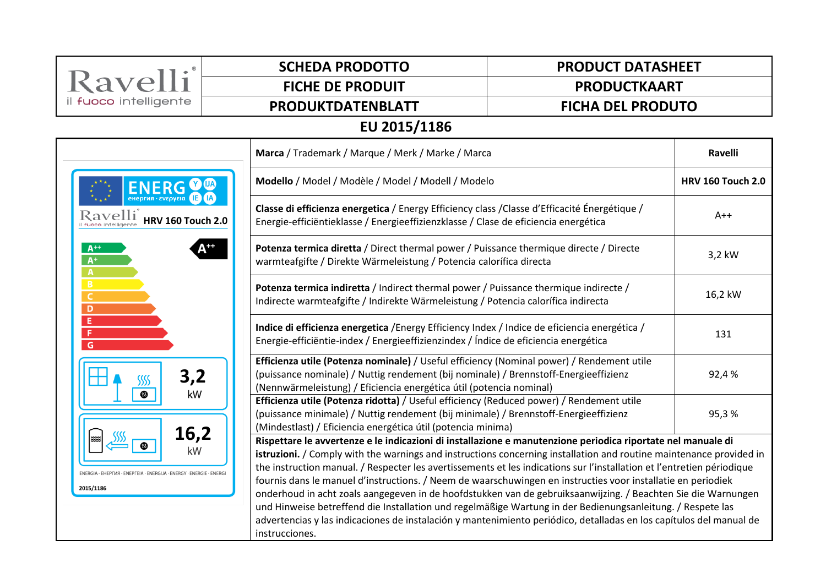| Ravelli                                                                                                                                                                                                                                                                                                                                                                                                                                                                                                                                                                                                                                                                                                                                                                                                                                                                                                                               | <b>SCHEDA PRODOTTO</b>                                                                                                                                                                                                                                                                                                                                                                                                                                                                                                                                                                                                                                                                                                         | <b>PRODUCT DATASHEET</b>                                                                                                                                      |         |  |  |
|---------------------------------------------------------------------------------------------------------------------------------------------------------------------------------------------------------------------------------------------------------------------------------------------------------------------------------------------------------------------------------------------------------------------------------------------------------------------------------------------------------------------------------------------------------------------------------------------------------------------------------------------------------------------------------------------------------------------------------------------------------------------------------------------------------------------------------------------------------------------------------------------------------------------------------------|--------------------------------------------------------------------------------------------------------------------------------------------------------------------------------------------------------------------------------------------------------------------------------------------------------------------------------------------------------------------------------------------------------------------------------------------------------------------------------------------------------------------------------------------------------------------------------------------------------------------------------------------------------------------------------------------------------------------------------|---------------------------------------------------------------------------------------------------------------------------------------------------------------|---------|--|--|
|                                                                                                                                                                                                                                                                                                                                                                                                                                                                                                                                                                                                                                                                                                                                                                                                                                                                                                                                       | <b>FICHE DE PRODUIT</b>                                                                                                                                                                                                                                                                                                                                                                                                                                                                                                                                                                                                                                                                                                        | <b>PRODUCTKAART</b>                                                                                                                                           |         |  |  |
| il fuoco intelligente                                                                                                                                                                                                                                                                                                                                                                                                                                                                                                                                                                                                                                                                                                                                                                                                                                                                                                                 | PRODUKTDATENBLATT                                                                                                                                                                                                                                                                                                                                                                                                                                                                                                                                                                                                                                                                                                              | <b>FICHA DEL PRODUTO</b>                                                                                                                                      |         |  |  |
| EU 2015/1186                                                                                                                                                                                                                                                                                                                                                                                                                                                                                                                                                                                                                                                                                                                                                                                                                                                                                                                          |                                                                                                                                                                                                                                                                                                                                                                                                                                                                                                                                                                                                                                                                                                                                |                                                                                                                                                               |         |  |  |
| Marca / Trademark / Marque / Merk / Marke / Marca                                                                                                                                                                                                                                                                                                                                                                                                                                                                                                                                                                                                                                                                                                                                                                                                                                                                                     |                                                                                                                                                                                                                                                                                                                                                                                                                                                                                                                                                                                                                                                                                                                                |                                                                                                                                                               | Ravelli |  |  |
| <b>ENERG</b><br><b>e</b> нергия · ενερνεια<br>Ravelli<br><b>HRV 160 Touch 2.0</b>                                                                                                                                                                                                                                                                                                                                                                                                                                                                                                                                                                                                                                                                                                                                                                                                                                                     |                                                                                                                                                                                                                                                                                                                                                                                                                                                                                                                                                                                                                                                                                                                                | Modello / Model / Modèle / Model / Modell / Modelo                                                                                                            |         |  |  |
|                                                                                                                                                                                                                                                                                                                                                                                                                                                                                                                                                                                                                                                                                                                                                                                                                                                                                                                                       | Classe di efficienza energetica / Energy Efficiency class / Classe d'Efficacité Énergétique /<br>Energie-efficiëntieklasse / Energieeffizienzklasse / Clase de eficiencia energética                                                                                                                                                                                                                                                                                                                                                                                                                                                                                                                                           |                                                                                                                                                               | $A++$   |  |  |
| $A^{+}$<br>$A^+$<br>$\mathbf{A}$                                                                                                                                                                                                                                                                                                                                                                                                                                                                                                                                                                                                                                                                                                                                                                                                                                                                                                      |                                                                                                                                                                                                                                                                                                                                                                                                                                                                                                                                                                                                                                                                                                                                | Potenza termica diretta / Direct thermal power / Puissance thermique directe / Directe<br>warmteafgifte / Direkte Wärmeleistung / Potencia calorífica directa |         |  |  |
| <b>B</b><br>C<br>D                                                                                                                                                                                                                                                                                                                                                                                                                                                                                                                                                                                                                                                                                                                                                                                                                                                                                                                    | Potenza termica indiretta / Indirect thermal power / Puissance thermique indirecte /<br>Indirecte warmteafgifte / Indirekte Wärmeleistung / Potencia calorífica indirecta                                                                                                                                                                                                                                                                                                                                                                                                                                                                                                                                                      |                                                                                                                                                               | 16,2 kW |  |  |
| Е<br>F<br>G                                                                                                                                                                                                                                                                                                                                                                                                                                                                                                                                                                                                                                                                                                                                                                                                                                                                                                                           | Indice di efficienza energetica / Energy Efficiency Index / Indice de eficiencia energética /<br>Energie-efficiëntie-index / Energieeffizienzindex / Índice de eficiencia energética<br>Efficienza utile (Potenza nominale) / Useful efficiency (Nominal power) / Rendement utile<br>3,2<br>(puissance nominale) / Nuttig rendement (bij nominale) / Brennstoff-Energieeffizienz<br>SSSS<br>(Nennwärmeleistung) / Eficiencia energética útil (potencia nominal)<br>kW<br>▧<br>Efficienza utile (Potenza ridotta) / Useful efficiency (Reduced power) / Rendement utile<br>(puissance minimale) / Nuttig rendement (bij minimale) / Brennstoff-Energieeffizienz<br>(Mindestlast) / Eficiencia energética útil (potencia minima) |                                                                                                                                                               | 131     |  |  |
|                                                                                                                                                                                                                                                                                                                                                                                                                                                                                                                                                                                                                                                                                                                                                                                                                                                                                                                                       |                                                                                                                                                                                                                                                                                                                                                                                                                                                                                                                                                                                                                                                                                                                                |                                                                                                                                                               | 92,4%   |  |  |
|                                                                                                                                                                                                                                                                                                                                                                                                                                                                                                                                                                                                                                                                                                                                                                                                                                                                                                                                       |                                                                                                                                                                                                                                                                                                                                                                                                                                                                                                                                                                                                                                                                                                                                |                                                                                                                                                               | 95,3%   |  |  |
| 16,2<br>Rispettare le avvertenze e le indicazioni di installazione e manutenzione periodica riportate nel manuale di<br>kW<br>istruzioni. / Comply with the warnings and instructions concerning installation and routine maintenance provided in<br>the instruction manual. / Respecter les avertissements et les indications sur l'installation et l'entretien périodique<br>ENERGIA - EHEPFIA - ENEPFEIA - ENERGIJA - ENERGY - ENERGIE - ENERGI<br>fournis dans le manuel d'instructions. / Neem de waarschuwingen en instructies voor installatie en periodiek<br>2015/1186<br>onderhoud in acht zoals aangegeven in de hoofdstukken van de gebruiksaanwijzing. / Beachten Sie die Warnungen<br>und Hinweise betreffend die Installation und regelmäßige Wartung in der Bedienungsanleitung. / Respete las<br>advertencias y las indicaciones de instalación y mantenimiento periódico, detalladas en los capítulos del manual de |                                                                                                                                                                                                                                                                                                                                                                                                                                                                                                                                                                                                                                                                                                                                |                                                                                                                                                               |         |  |  |